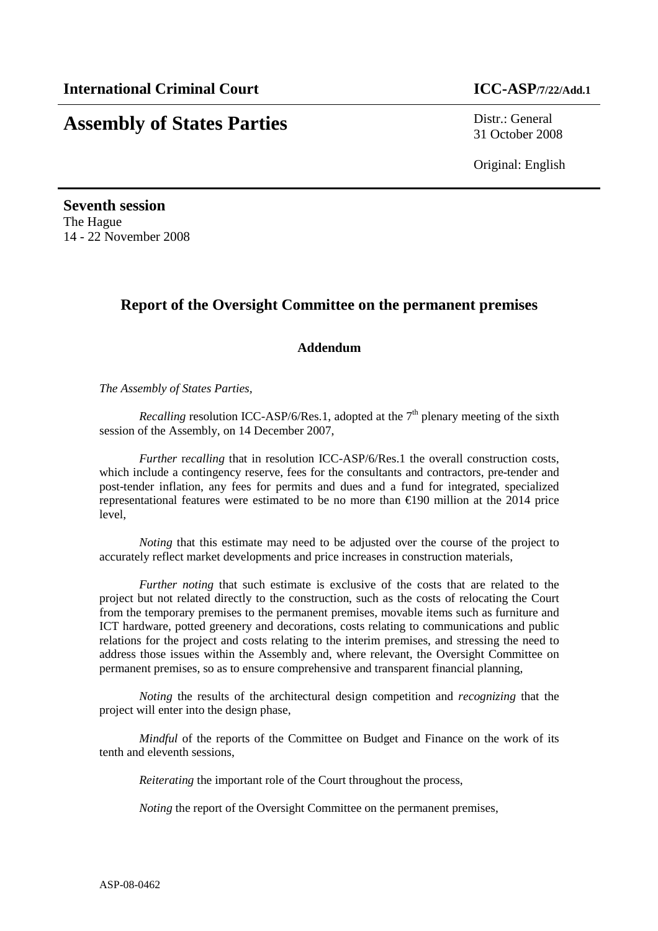# **Assembly of States Parties** Distr.: General

31 October 2008

Original: English

**Seventh session**  The Hague 14 - 22 November 2008

## **Report of the Oversight Committee on the permanent premises**

#### **Addendum**

*The Assembly of States Parties,* 

*Recalling* resolution ICC-ASP/6/Res.1, adopted at the  $7<sup>th</sup>$  plenary meeting of the sixth session of the Assembly, on 14 December 2007,

*Further* recalling that in resolution ICC-ASP/6/Res.1 the overall construction costs, which include a contingency reserve, fees for the consultants and contractors, pre-tender and post-tender inflation, any fees for permits and dues and a fund for integrated, specialized representational features were estimated to be no more than €190 million at the 2014 price level,

*Noting* that this estimate may need to be adjusted over the course of the project to accurately reflect market developments and price increases in construction materials,

*Further noting* that such estimate is exclusive of the costs that are related to the project but not related directly to the construction, such as the costs of relocating the Court from the temporary premises to the permanent premises, movable items such as furniture and ICT hardware, potted greenery and decorations, costs relating to communications and public relations for the project and costs relating to the interim premises, and stressing the need to address those issues within the Assembly and, where relevant, the Oversight Committee on permanent premises, so as to ensure comprehensive and transparent financial planning,

*Noting* the results of the architectural design competition and *recognizing* that the project will enter into the design phase,

*Mindful* of the reports of the Committee on Budget and Finance on the work of its tenth and eleventh sessions,

*Reiterating* the important role of the Court throughout the process,

*Noting* the report of the Oversight Committee on the permanent premises,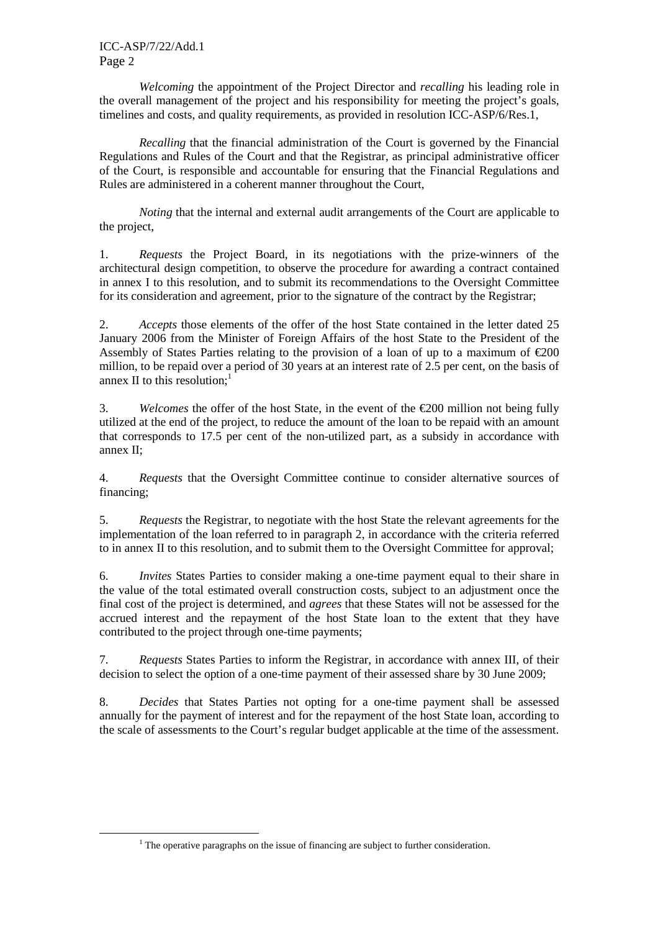ICC-ASP/7/22/Add.1 Page 2

 $\overline{a}$ 

*Welcoming* the appointment of the Project Director and *recalling* his leading role in the overall management of the project and his responsibility for meeting the project's goals, timelines and costs, and quality requirements, as provided in resolution ICC-ASP/6/Res.1,

*Recalling* that the financial administration of the Court is governed by the Financial Regulations and Rules of the Court and that the Registrar, as principal administrative officer of the Court, is responsible and accountable for ensuring that the Financial Regulations and Rules are administered in a coherent manner throughout the Court,

 *Noting* that the internal and external audit arrangements of the Court are applicable to the project,

1. *Requests* the Project Board, in its negotiations with the prize-winners of the architectural design competition, to observe the procedure for awarding a contract contained in annex I to this resolution, and to submit its recommendations to the Oversight Committee for its consideration and agreement, prior to the signature of the contract by the Registrar;

2. *Accepts* those elements of the offer of the host State contained in the letter dated 25 January 2006 from the Minister of Foreign Affairs of the host State to the President of the Assembly of States Parties relating to the provision of a loan of up to a maximum of  $\epsilon$ 200 million, to be repaid over a period of 30 years at an interest rate of 2.5 per cent, on the basis of annex II to this resolution; $<sup>1</sup>$ </sup>

3. *Welcomes* the offer of the host State, in the event of the €200 million not being fully utilized at the end of the project, to reduce the amount of the loan to be repaid with an amount that corresponds to 17.5 per cent of the non-utilized part, as a subsidy in accordance with annex II;

4. *Requests* that the Oversight Committee continue to consider alternative sources of financing;

5. *Requests* the Registrar, to negotiate with the host State the relevant agreements for the implementation of the loan referred to in paragraph 2, in accordance with the criteria referred to in annex II to this resolution, and to submit them to the Oversight Committee for approval;

6. *Invites* States Parties to consider making a one-time payment equal to their share in the value of the total estimated overall construction costs, subject to an adjustment once the final cost of the project is determined, and *agrees* that these States will not be assessed for the accrued interest and the repayment of the host State loan to the extent that they have contributed to the project through one-time payments;

7. *Requests* States Parties to inform the Registrar, in accordance with annex III, of their decision to select the option of a one-time payment of their assessed share by 30 June 2009;

8. *Decides* that States Parties not opting for a one-time payment shall be assessed annually for the payment of interest and for the repayment of the host State loan, according to the scale of assessments to the Court's regular budget applicable at the time of the assessment.

 $<sup>1</sup>$  The operative paragraphs on the issue of financing are subject to further consideration.</sup>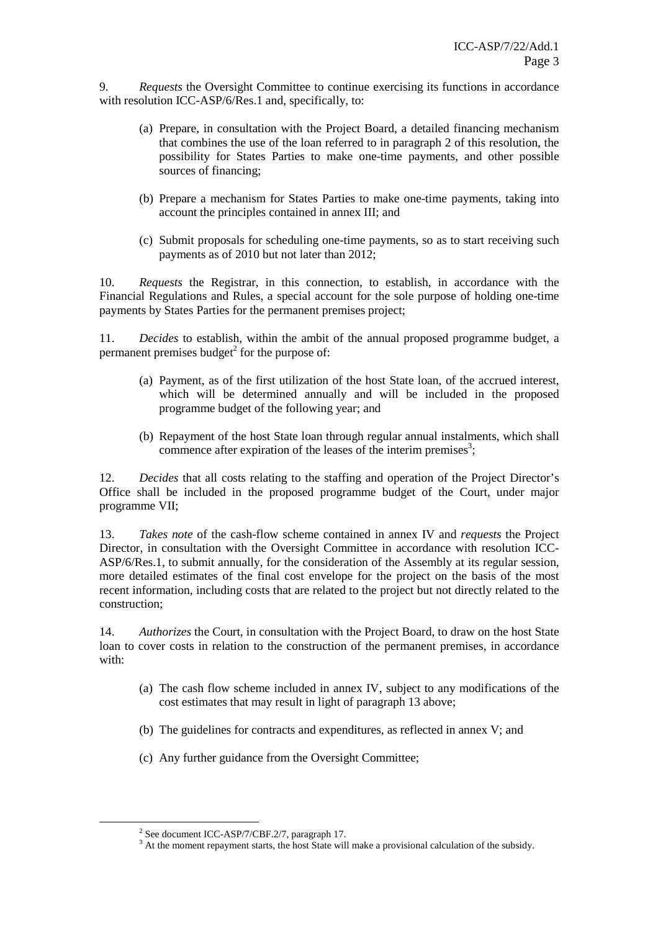9. *Requests* the Oversight Committee to continue exercising its functions in accordance with resolution ICC-ASP/6/Res.1 and, specifically, to:

- (a) Prepare, in consultation with the Project Board, a detailed financing mechanism that combines the use of the loan referred to in paragraph 2 of this resolution, the possibility for States Parties to make one-time payments, and other possible sources of financing;
- (b) Prepare a mechanism for States Parties to make one-time payments, taking into account the principles contained in annex III; and
- (c) Submit proposals for scheduling one-time payments, so as to start receiving such payments as of 2010 but not later than 2012;

10. *Requests* the Registrar, in this connection, to establish, in accordance with the Financial Regulations and Rules, a special account for the sole purpose of holding one-time payments by States Parties for the permanent premises project;

11. *Decides* to establish, within the ambit of the annual proposed programme budget, a permanent premises budget $2$  for the purpose of:

- (a) Payment, as of the first utilization of the host State loan, of the accrued interest, which will be determined annually and will be included in the proposed programme budget of the following year; and
- (b) Repayment of the host State loan through regular annual instalments, which shall commence after expiration of the leases of the interim premises<sup>3</sup>;

12. *Decides* that all costs relating to the staffing and operation of the Project Director's Office shall be included in the proposed programme budget of the Court, under major programme VII;

13. *Takes note* of the cash-flow scheme contained in annex IV and *requests* the Project Director, in consultation with the Oversight Committee in accordance with resolution ICC-ASP/6/Res.1, to submit annually, for the consideration of the Assembly at its regular session, more detailed estimates of the final cost envelope for the project on the basis of the most recent information, including costs that are related to the project but not directly related to the construction;

14. *Authorizes* the Court, in consultation with the Project Board, to draw on the host State loan to cover costs in relation to the construction of the permanent premises, in accordance with:

- (a) The cash flow scheme included in annex IV, subject to any modifications of the cost estimates that may result in light of paragraph 13 above;
- (b) The guidelines for contracts and expenditures, as reflected in annex V; and
- (c) Any further guidance from the Oversight Committee;

 $\overline{a}$ 

<sup>&</sup>lt;sup>2</sup> See document ICC-ASP/7/CBF.2/7, paragraph 17.

<sup>&</sup>lt;sup>3</sup> At the moment repayment starts, the host State will make a provisional calculation of the subsidy.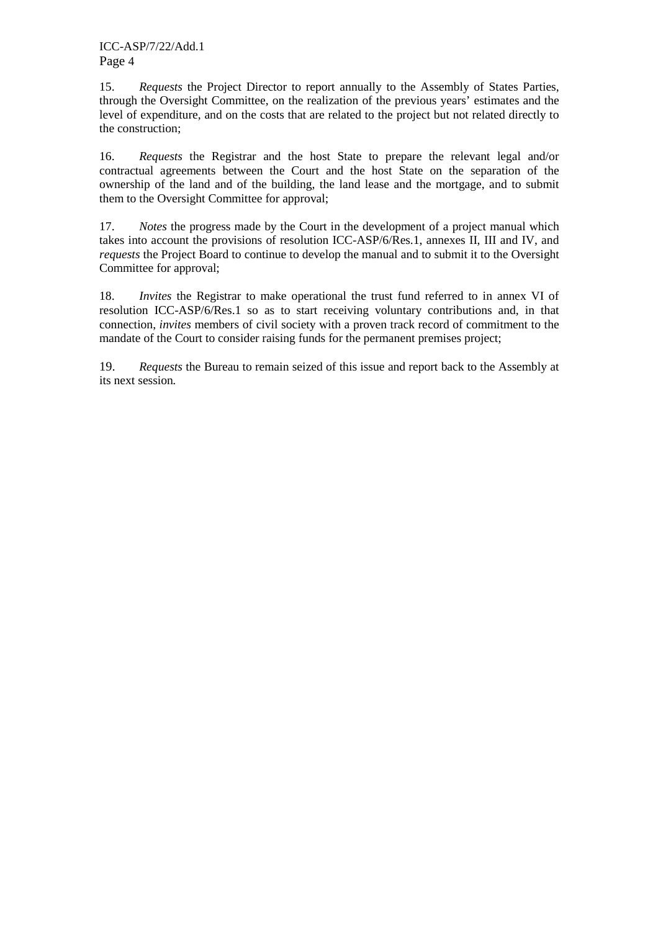15. *Requests* the Project Director to report annually to the Assembly of States Parties, through the Oversight Committee, on the realization of the previous years' estimates and the level of expenditure, and on the costs that are related to the project but not related directly to the construction;

16. *Requests* the Registrar and the host State to prepare the relevant legal and/or contractual agreements between the Court and the host State on the separation of the ownership of the land and of the building, the land lease and the mortgage, and to submit them to the Oversight Committee for approval;

17. *Notes* the progress made by the Court in the development of a project manual which takes into account the provisions of resolution ICC-ASP/6/Res.1, annexes II, III and IV, and *requests* the Project Board to continue to develop the manual and to submit it to the Oversight Committee for approval;

18. *Invites* the Registrar to make operational the trust fund referred to in annex VI of resolution ICC-ASP/6/Res.1 so as to start receiving voluntary contributions and, in that connection, *invites* members of civil society with a proven track record of commitment to the mandate of the Court to consider raising funds for the permanent premises project;

19. *Requests* the Bureau to remain seized of this issue and report back to the Assembly at its next session*.*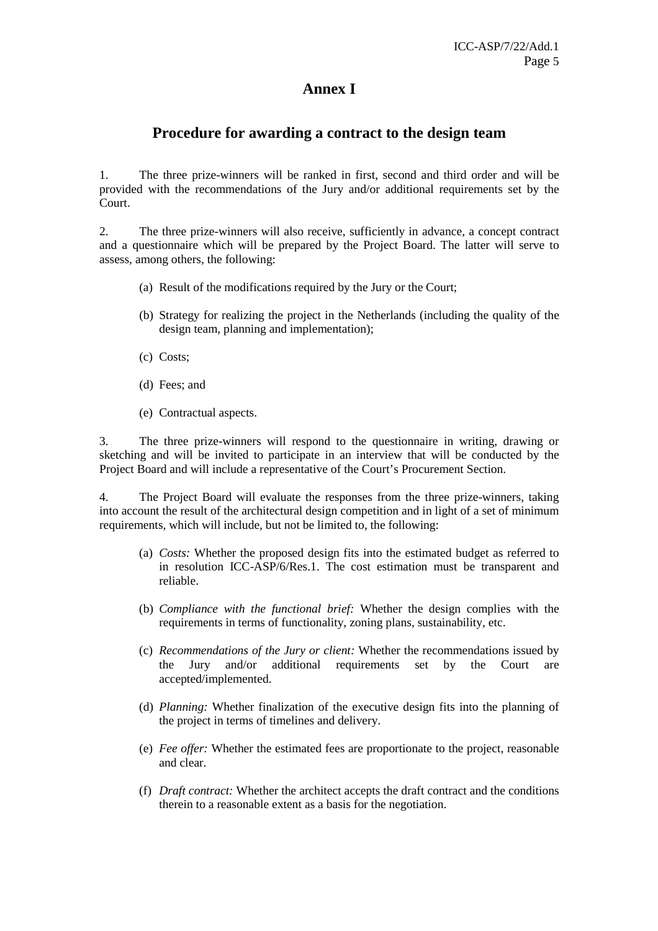#### **Annex I**

#### **Procedure for awarding a contract to the design team**

1. The three prize-winners will be ranked in first, second and third order and will be provided with the recommendations of the Jury and/or additional requirements set by the Court.

2. The three prize-winners will also receive, sufficiently in advance, a concept contract and a questionnaire which will be prepared by the Project Board. The latter will serve to assess, among others, the following:

- (a) Result of the modifications required by the Jury or the Court;
- (b) Strategy for realizing the project in the Netherlands (including the quality of the design team, planning and implementation);
- (c) Costs;
- (d) Fees; and
- (e) Contractual aspects.

3. The three prize-winners will respond to the questionnaire in writing, drawing or sketching and will be invited to participate in an interview that will be conducted by the Project Board and will include a representative of the Court's Procurement Section.

4. The Project Board will evaluate the responses from the three prize-winners, taking into account the result of the architectural design competition and in light of a set of minimum requirements, which will include, but not be limited to, the following:

- (a) *Costs:* Whether the proposed design fits into the estimated budget as referred to in resolution ICC-ASP/6/Res.1. The cost estimation must be transparent and reliable.
- (b) *Compliance with the functional brief:* Whether the design complies with the requirements in terms of functionality, zoning plans, sustainability, etc.
- (c) *Recommendations of the Jury or client:* Whether the recommendations issued by the Jury and/or additional requirements set by the Court are accepted/implemented.
- (d) *Planning:* Whether finalization of the executive design fits into the planning of the project in terms of timelines and delivery.
- (e) *Fee offer:* Whether the estimated fees are proportionate to the project, reasonable and clear.
- (f) *Draft contract:* Whether the architect accepts the draft contract and the conditions therein to a reasonable extent as a basis for the negotiation.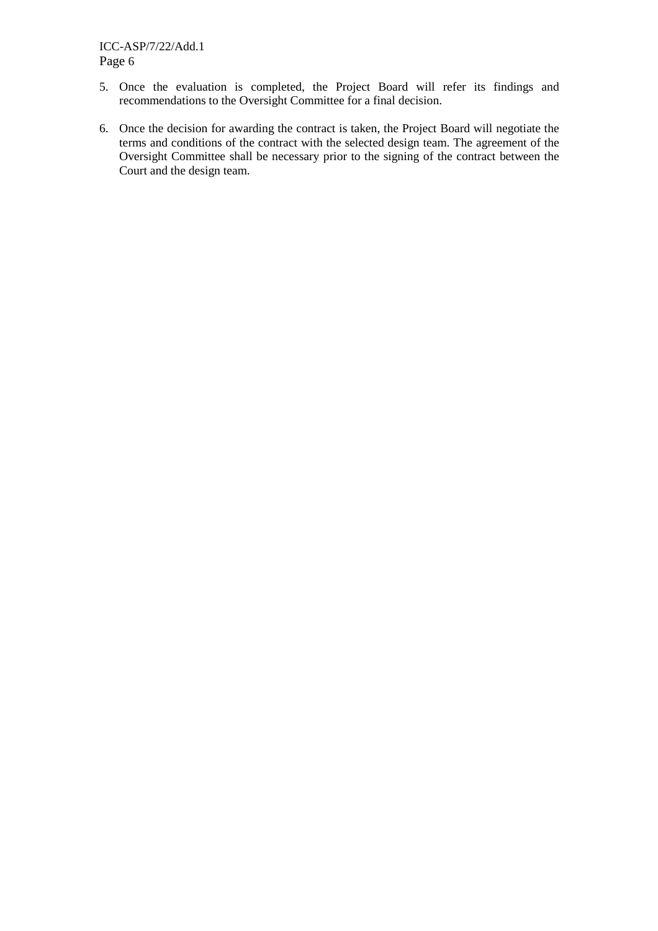- 5. Once the evaluation is completed, the Project Board will refer its findings and recommendations to the Oversight Committee for a final decision.
- 6. Once the decision for awarding the contract is taken, the Project Board will negotiate the terms and conditions of the contract with the selected design team. The agreement of the Oversight Committee shall be necessary prior to the signing of the contract between the Court and the design team.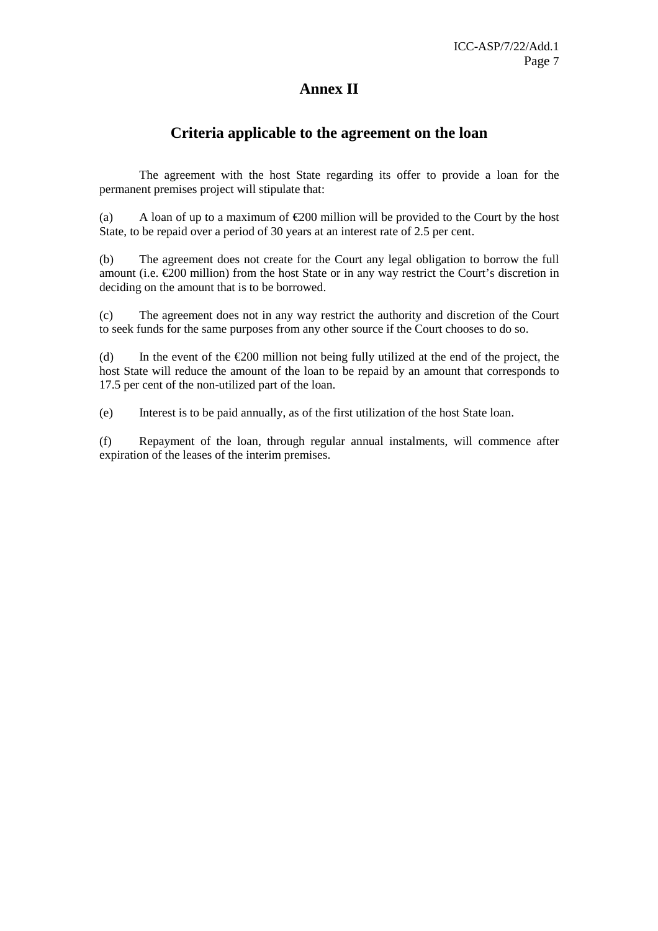#### **Annex II**

#### **Criteria applicable to the agreement on the loan**

 The agreement with the host State regarding its offer to provide a loan for the permanent premises project will stipulate that:

(a) A loan of up to a maximum of  $\epsilon$ 200 million will be provided to the Court by the host State, to be repaid over a period of 30 years at an interest rate of 2.5 per cent.

(b) The agreement does not create for the Court any legal obligation to borrow the full amount (i.e.  $\epsilon$ 200 million) from the host State or in any way restrict the Court's discretion in deciding on the amount that is to be borrowed.

(c) The agreement does not in any way restrict the authority and discretion of the Court to seek funds for the same purposes from any other source if the Court chooses to do so.

(d) In the event of the  $\epsilon$ 200 million not being fully utilized at the end of the project, the host State will reduce the amount of the loan to be repaid by an amount that corresponds to 17.5 per cent of the non-utilized part of the loan.

(e) Interest is to be paid annually, as of the first utilization of the host State loan.

(f) Repayment of the loan, through regular annual instalments, will commence after expiration of the leases of the interim premises.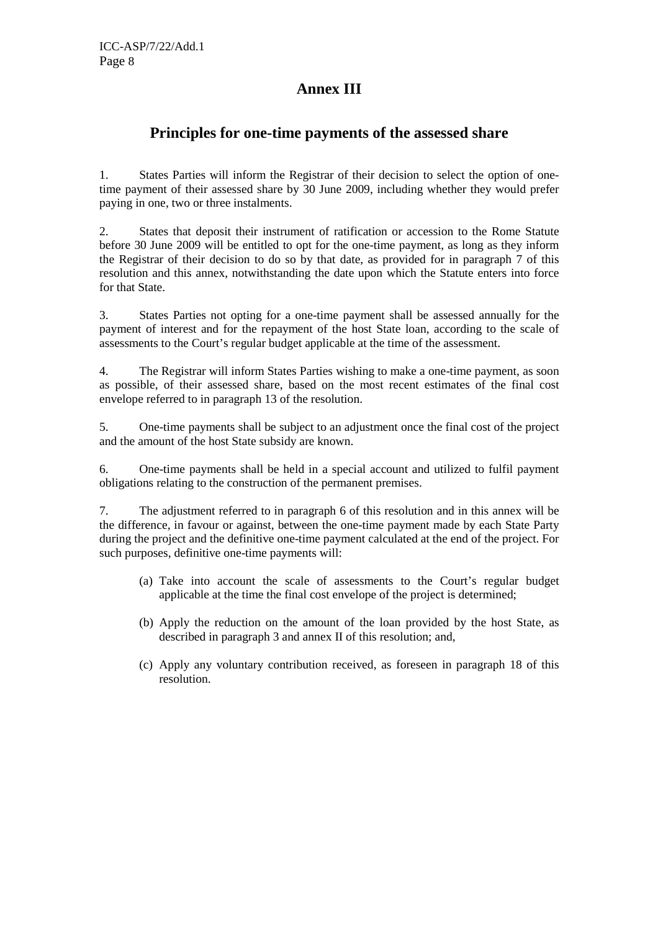## **Annex III**

#### **Principles for one-time payments of the assessed share**

1. States Parties will inform the Registrar of their decision to select the option of onetime payment of their assessed share by 30 June 2009, including whether they would prefer paying in one, two or three instalments.

2. States that deposit their instrument of ratification or accession to the Rome Statute before 30 June 2009 will be entitled to opt for the one-time payment, as long as they inform the Registrar of their decision to do so by that date, as provided for in paragraph 7 of this resolution and this annex, notwithstanding the date upon which the Statute enters into force for that State.

3. States Parties not opting for a one-time payment shall be assessed annually for the payment of interest and for the repayment of the host State loan, according to the scale of assessments to the Court's regular budget applicable at the time of the assessment.

4. The Registrar will inform States Parties wishing to make a one-time payment, as soon as possible, of their assessed share, based on the most recent estimates of the final cost envelope referred to in paragraph 13 of the resolution.

5. One-time payments shall be subject to an adjustment once the final cost of the project and the amount of the host State subsidy are known.

6. One-time payments shall be held in a special account and utilized to fulfil payment obligations relating to the construction of the permanent premises.

7. The adjustment referred to in paragraph 6 of this resolution and in this annex will be the difference, in favour or against, between the one-time payment made by each State Party during the project and the definitive one-time payment calculated at the end of the project. For such purposes, definitive one-time payments will:

- (a) Take into account the scale of assessments to the Court's regular budget applicable at the time the final cost envelope of the project is determined;
- (b) Apply the reduction on the amount of the loan provided by the host State, as described in paragraph 3 and annex II of this resolution; and,
- (c) Apply any voluntary contribution received, as foreseen in paragraph 18 of this resolution.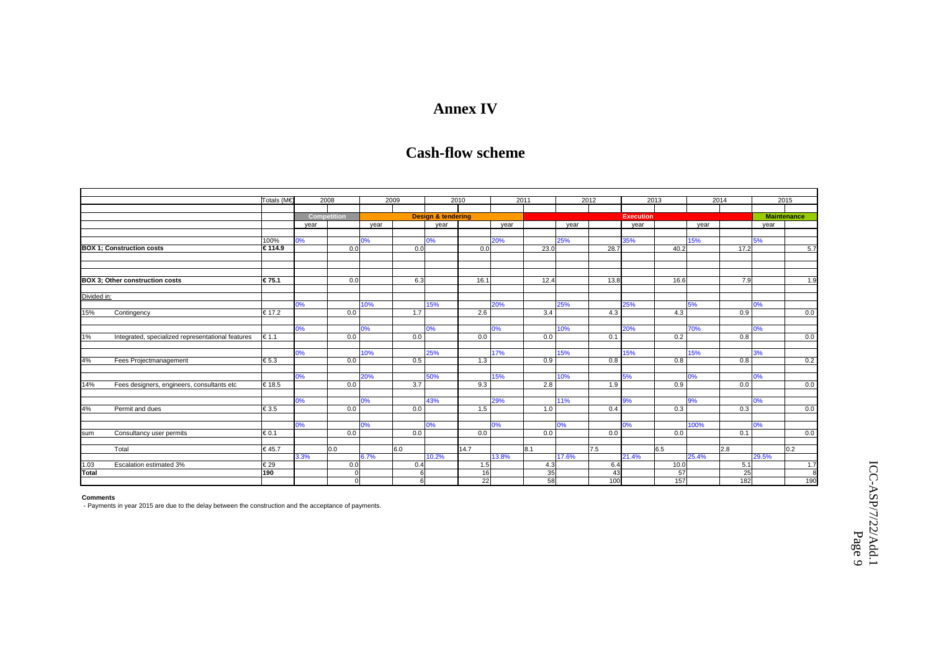## **Annex IV**

## **Cash-flow scheme**

|                                  |                                                   | Totals (M€     | 2008               |     | 2009 |     | 2010                          |                 | 2011  |      | 2012  |                  | 2013  |      | 2014  | 2015               |     |
|----------------------------------|---------------------------------------------------|----------------|--------------------|-----|------|-----|-------------------------------|-----------------|-------|------|-------|------------------|-------|------|-------|--------------------|-----|
|                                  |                                                   |                |                    |     |      |     |                               |                 |       |      |       |                  |       |      |       |                    |     |
|                                  |                                                   |                | <b>Competition</b> |     |      |     | <b>Design &amp; tendering</b> |                 |       |      |       | <b>Execution</b> |       |      |       | <b>Maintenance</b> |     |
|                                  |                                                   |                | year               |     | year |     | vear                          |                 | vear  |      | year  |                  | year  |      | vear  | year               |     |
|                                  |                                                   |                |                    |     |      |     |                               |                 |       |      |       |                  |       |      |       |                    |     |
|                                  |                                                   | 100%           | 0%                 |     | 0%   |     | 0%                            |                 | 20%   |      | 25%   |                  | 35%   |      | 15%   | 5%                 |     |
| <b>BOX 1: Construction costs</b> |                                                   | € 114.9        |                    | 0.0 |      | 0.0 |                               | 0.0             |       | 23.0 |       | 28.7             |       | 40.2 | 17.2  |                    | 5.7 |
|                                  |                                                   |                |                    |     |      |     |                               |                 |       |      |       |                  |       |      |       |                    |     |
|                                  |                                                   |                |                    |     |      |     |                               |                 |       |      |       |                  |       |      |       |                    |     |
|                                  |                                                   |                |                    |     |      |     |                               |                 |       |      |       |                  |       |      |       |                    |     |
|                                  | <b>BOX 3: Other construction costs</b>            | € 75.1         |                    | 0.0 |      | 6.3 |                               | 16.1            |       | 12.4 |       | 13.8             |       | 16.6 | 7.9   |                    | 1.9 |
|                                  |                                                   |                |                    |     |      |     |                               |                 |       |      |       |                  |       |      |       |                    |     |
| Divided in:                      |                                                   |                |                    |     |      |     |                               |                 |       |      |       |                  |       |      |       |                    |     |
|                                  |                                                   |                | 0%                 |     | 10%  |     | 15%                           |                 | 20%   |      | 25%   |                  | 25%   |      | 5%    | 0%                 |     |
| 15%                              | Contingency                                       | € 17.2         |                    | 0.0 |      | 1.7 |                               | 2.6             |       | 3.4  |       | 4.3              |       | 4.3  | 0.9   |                    | 0.0 |
|                                  |                                                   |                |                    |     |      |     |                               |                 |       |      |       |                  |       |      |       |                    |     |
|                                  |                                                   |                | 0%                 |     | 0%   |     | 0%                            |                 | 0%    |      | 10%   |                  | 20%   |      | 70%   | 0%                 |     |
| 1%                               | Integrated, specialized representational features | $\epsilon$ 1.1 |                    | 0.0 |      | 0.0 |                               | 0.0             |       | 0.0  |       | 0.1              |       | 0.2  | 0.8   |                    | 0.0 |
|                                  |                                                   |                |                    |     |      |     |                               |                 |       |      |       |                  |       |      |       |                    |     |
|                                  |                                                   |                | 0%                 |     | 10%  |     | 25%                           |                 | 17%   |      | 15%   |                  | 15%   |      | 15%   | 3%                 |     |
| 4%                               | Fees Projectmanagement                            | € 5.3          |                    | 0.0 |      | 0.5 |                               | 1.3             |       | 0.9  |       | 0.8              |       | 0.8  | 0.8   |                    | 0.2 |
|                                  |                                                   |                |                    |     |      |     |                               |                 |       |      |       |                  |       |      |       |                    |     |
|                                  |                                                   |                | 0%                 |     | 20%  |     | 50%                           |                 | 15%   |      | 10%   |                  | 5%    |      | 0%    | 0%                 |     |
| 14%                              | Fees designers, engineers, consultants etc        | € 18.5         |                    | 0.0 |      | 3.7 |                               | 9.3             |       | 2.8  |       | 1.9              |       | 0.9  | 0.0   |                    | 0.0 |
|                                  |                                                   |                |                    |     |      |     |                               |                 |       |      |       |                  |       |      |       |                    |     |
|                                  |                                                   |                | 0%                 |     | 0%   |     | 43%                           |                 | 29%   |      | 11%   |                  | 9%    |      | 9%    | 0%                 |     |
| 4%                               | Permit and dues                                   | € 3.5          |                    | 0.0 |      | 0.0 |                               | 1.5             |       | 1.0  |       | 0.4              |       | 0.3  | 0.3   |                    | 0.0 |
|                                  |                                                   |                |                    |     |      |     |                               |                 |       |      |       |                  |       |      |       |                    |     |
|                                  |                                                   |                | 0%                 |     | 0%   |     | 0%                            |                 | 0%    |      | 0%    |                  | 0%    |      | 100%  | 0%                 |     |
| sum                              | Consultancy user permits                          | € 0.1          |                    | 0.0 |      | 0.0 |                               | 0.0             |       | 0.0  |       | 0.0              |       | 0.0  | 0.1   |                    | 0.0 |
|                                  |                                                   |                |                    |     |      |     |                               |                 |       |      |       |                  |       |      |       |                    |     |
|                                  | Total                                             | € 45.7         |                    | 0.0 |      | 6.0 |                               | 14.7            |       | 8.1  |       | 7.5              |       | 6.5  | 2.8   |                    | 0.2 |
|                                  |                                                   |                | 3.3%               |     | 6.7% |     | 10.2%                         |                 | 13.8% |      | 17.6% |                  | 21.4% |      | 25.4% | 29.5%              |     |
| 1.03                             | Escalation estimated 3%                           | l€ 29          |                    | 0.0 |      | 0.4 |                               | 1.5             |       | 4.3  |       | 6.4              |       | 10.0 | 5.1   |                    | 1.7 |
| Total                            |                                                   | 190            |                    |     |      | 6   |                               | 16              |       | 35   |       | 43               |       | 57   | 25    |                    | 8   |
|                                  |                                                   |                |                    |     |      |     |                               | $\overline{22}$ |       | 58   |       | 100              |       | 157  | 182   |                    | 190 |

#### **Comments**

- Payments in year 2015 are due to the delay between the construction and the acceptance of payments.